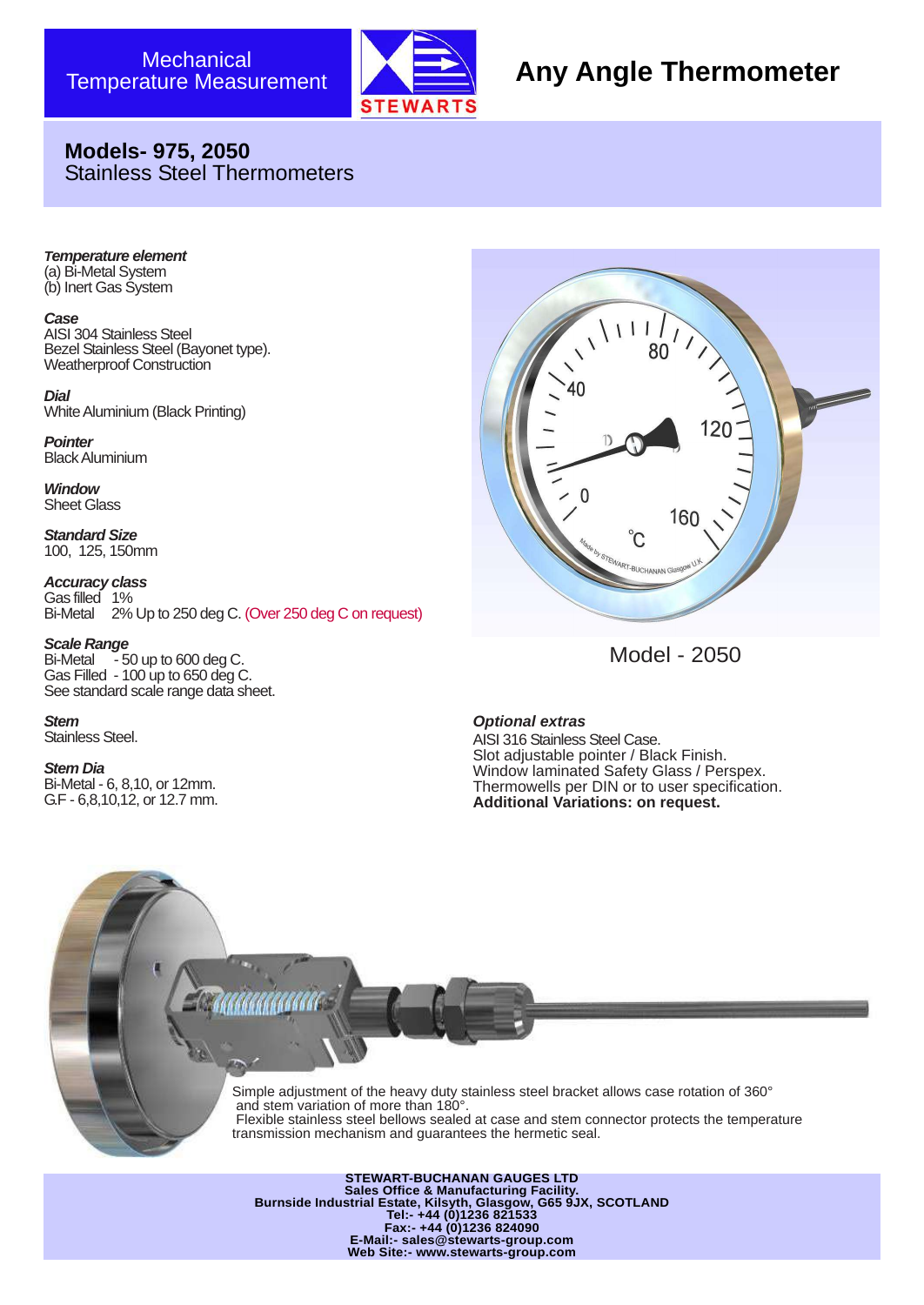

# **Any Angle Thermometer**

## **Models- 975, 2050** Stainless Steel Thermometers

*Temperature element* (a) Bi-Metal System (b) Inert Gas System

#### *Case*

AISI 304 Stainless Steel Bezel Stainless Steel (Bayonet type). Weatherproof Construction

*Dial* White Aluminium (Black Printing)

*Pointer* Black Aluminium

*Window* Sheet Glass

*Standard Size* 100, 125, 150mm

*Accuracy class* Gas filled 1% Bi-Metal 2% Up to 250 deg C. (Over 250 deg C on request)

*Scale Range* Bi-Metal  $-50$  up to 600 deg C. Gas Filled - 100 up to 650 deg C. See standard scale range data sheet.

*Stem* Stainless Steel.

*Stem Dia* Bi-Metal - 6, 8,10, or 12mm. G.F - 6,8,10,12, or 12.7 mm.



Model - 2050

*Optional extras*

AISI 316 Stainless Steel Case. Slot adjustable pointer / Black Finish. Window laminated Safety Glass / Perspex. Thermowells per DIN or to user specification. **Additional Variations: on request.**

Simple adjustment of the heavy duty stainless steel bracket allows case rotation of 360° and stem variation of more than 180°. Flexible stainless steel bellows sealed at case and stem connector protects the temperature transmission mechanism and guarantees the hermetic seal.

**STEWART-BUCHANAN GAUGES LTD Sales Office & Manufacturing Facility. Burnside Industrial Estate, Kilsyth, Glasgow, G65 9JX, SCOTLAND Tel:- +44 (0)1236 821533 Fax:- +44 (0)1236 824090 E-Mail:- sales@stewarts-group.com Web Site:- www.stewarts-group.com**